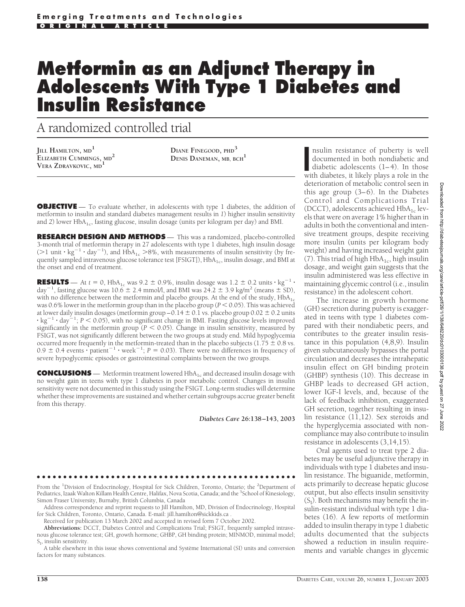# **Metformin as an Adjunct Therapy in Adolescents With Type 1 Diabetes and Insulin Resistance**

A randomized controlled trial

**JILL HAMILTON, MD<sup>1</sup> ELIZABETH CUMMINGS, MD<sup>2</sup> VERA ZDRAVKOVIC, MD<sup>1</sup>**

**DIANE FINEGOOD, PHD<sup>3</sup> DENIS DANEMAN, MB, BCH<sup>1</sup>**

**OBJECTIVE** — To evaluate whether, in adolescents with type 1 diabetes, the addition of metformin to insulin and standard diabetes management results in *1*) higher insulin sensitivity and 2) lower  $HbA_{1c}$ , fasting glucose, insulin dosage (units per kilogram per day) and BMI.

**RESEARCH DESIGN AND METHODS** — This was a randomized, placebo-controlled 3-month trial of metformin therapy in 27 adolescents with type 1 diabetes, high insulin dosage (>1 unit  $\cdot$  kg<sup>-1</sup>  $\cdot$  day<sup>-1</sup>), and HbA<sub>1c</sub> >8%, with measurements of insulin sensitivity (by frequently sampled intravenous glucose tolerance test [FSIGT]),  $HbA<sub>1c</sub>$ , insulin dosage, and BMI at the onset and end of treatment.

**RESULTS** — At  $t = 0$ , HbA<sub>1c</sub> was 9.2  $\pm$  0.9%, insulin dosage was 1.2  $\pm$  0.2 units  $\cdot$  kg<sup>-1</sup>  $\cdot$ day<sup>-1</sup>, fasting glucose was  $10.6 \pm 2.4$  mmol/l, and BMI was  $24.2 \pm 3.9$  kg/m<sup>2</sup> (means  $\pm$  SD), with no difference between the metformin and placebo groups. At the end of the study,  $HbA_{1c}$ was 0.6% lower in the metformin group than in the placebo group ( $P < 0.05$ ). This was achieved at lower daily insulin dosages (metformin group  $-0.14 \pm 0.1$  vs. placebo group  $0.02 \pm 0.2$  units  $\cdot$  kg<sup>-1</sup>  $\cdot$  day<sup>-1</sup>; *P* < 0.05), with no significant change in BMI. Fasting glucose levels improved significantly in the metformin group  $(P < 0.05)$ . Change in insulin sensitivity, measured by FSIGT, was not significantly different between the two groups at study end. Mild hypoglycemia occurred more frequently in the metformin-treated than in the placebo subjects ( $1.75 \pm 0.8$  vs.  $0.9 \pm 0.4$  events  $\cdot$  patient<sup>-1</sup>  $\cdot$  week<sup>-1</sup>; *P* = 0.03). There were no differences in frequency of severe hypoglycemic episodes or gastrointestinal complaints between the two groups.

**CONCLUSIONS** — Metformin treatment lowered HbA<sub>1c</sub> and decreased insulin dosage with no weight gain in teens with type 1 diabetes in poor metabolic control. Changes in insulin sensitivity were not documented in this study using the FSIGT. Long-term studies will determine whether these improvements are sustained and whether certain subgroups accrue greater benefit from this therapy.

*Diabetes Care* **26:138–143, 2003**

●●●●●●●●●●●●●●●●●●●●●●●●●●●●●●●●●●●●●●●●●●●●●●●●● From the <sup>1</sup>Division of Endocrinology, Hospital for Sick Children, Toronto, Ontario; the <sup>2</sup>Department of Pediatrics, Izaak Walton Killam Health Centre, Halifax, Nova Scotia, Canada; and the <sup>3</sup>School of Kinesiology, Simon Fraser University, Burnaby, British Columbia, Canada

Address correspondence and reprint requests to Jill Hamilton, MD, Division of Endocrinology, Hospital for Sick Children, Toronto, Ontario, Canada. E-mail: jill.hamilton@sickkids.ca .

Received for publication 13 March 2002 and accepted in revised form 7 October 2002.

**Abbreviations:** DCCT, Diabetes Control and Complications Trial; FSIGT, frequently sampled intravenous glucose tolerance test; GH, growth hormone; GHBP, GH binding protein; MINMOD, minimal model;  $S_I$ , insulin sensitivity.

A table elsewhere in this issue shows conventional and Système International (SI) units and conversion factors for many substances.

nsulin resistance of puberty is well<br>documented in both nondiabetic and<br>diabetic adolescents (1–4). In those<br>with diabetes, it likely plays a role in the nsulin resistance of puberty is well documented in both nondiabetic and diabetic adolescents (1–4). In those deterioration of metabolic control seen in this age group (3–6). In the Diabetes Control and Complications Trial (DCCT), adolescents achieved  $HbA_{1c}$  levels that were on average 1% higher than in adults in both the conventional and intensive treatment groups, despite receiving more insulin (units per kilogram body weight) and having increased weight gain (7). This triad of high  $HbA_{1c}$ , high insulin dosage, and weight gain suggests that the insulin administered was less effective in maintaining glycemic control (i.e., insulin resistance) in the adolescent cohort.

The increase in growth hormone (GH) secretion during puberty is exaggerated in teens with type 1 diabetes compared with their nondiabetic peers, and contributes to the greater insulin resistance in this population (4,8,9). Insulin given subcutaneously bypasses the portal circulation and decreases the intrahepatic insulin effect on GH binding protein (GHBP) synthesis (10). This decrease in GHBP leads to decreased GH action, lower IGF-I levels, and, because of the lack of feedback inhibition, exaggerated GH secretion, together resulting in insulin resistance (11,12). Sex steroids and the hyperglycemia associated with noncompliance may also contribute to insulin resistance in adolescents (3,14,15).

Oral agents used to treat type 2 diabetes may be useful adjunctive therapy in individuals with type 1 diabetes and insulin resistance. The biguanide, metformin, acts primarily to decrease hepatic glucose output, but also effects insulin sensitivity  $(S<sub>I</sub>)$ . Both mechanisms may benefit the insulin-resistant individual with type 1 diabetes (16). A few reports of metformin added to insulin therapy in type 1 diabetic adults documented that the subjects showed a reduction in insulin requirements and variable changes in glycemic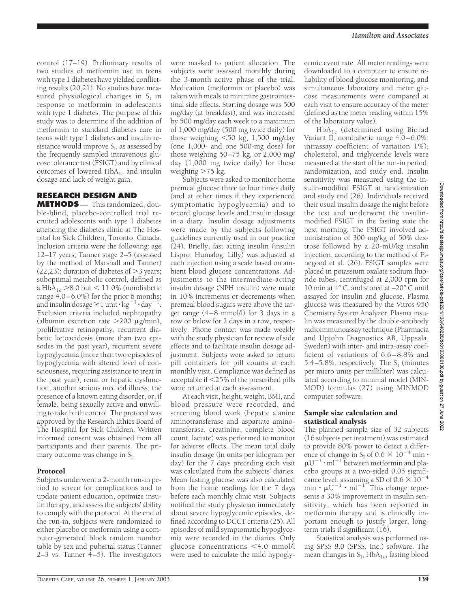control (17–19). Preliminary results of two studies of metformin use in teens with type 1 diabetes have yielded conflicting results (20,21). No studies have measured physiological changes in  $S<sub>I</sub>$  in response to metformin in adolescents with type 1 diabetes. The purpose of this study was to determine if the addition of metformin to standard diabetes care in teens with type 1 diabetes and insulin resistance would improve  $S_I$ , as assessed by the frequently sampled intravenous glucose tolerance test (FSIGT) and by clinical outcomes of lowered  $HbA_{1c}$  and insulin dosage and lack of weight gain.

## **RESEARCH DESIGN AND**

**METHODS** — This randomized, double-blind, placebo-controlled trial recruited adolescents with type 1 diabetes attending the diabetes clinic at The Hospital for Sick Children, Toronto, Canada. Inclusion criteria were the following: age 12–17 years; Tanner stage 2–5 (assessed by the method of Marshall and Tanner) (22,23); duration of diabetes of  $>$ 3 years; suboptimal metabolic control, defined as a HbA<sub>1c</sub>  $>8.0$  but < 11.0% (nondiabetic range 4.0–6.0%) for the prior 6 months; and insulin dosage  $\geq$  1 unit  $\cdot$  kg<sup>-1</sup>  $\cdot$  day<sup>-1</sup>. Exclusion criteria included nephropathy (albumin excretion rate  $>200 \mu$ g/min), proliferative retinopathy, recurrent diabetic ketoacidosis (more than two episodes in the past year), recurrent severe hypoglycemia (more than two episodes of hypoglycemia with altered level of consciousness, requiring assistance to treat in the past year), renal or hepatic dysfunction, another serious medical illness, the presence of a known eating disorder, or, if female, being sexually active and unwilling to take birth control. The protocol was approved by the Research Ethics Board of The Hospital for Sick Children. Written informed consent was obtained from all participants and their parents. The primary outcome was change in  $S_I$ .

## Protocol

Subjects underwent a 2-month run-in period to screen for complications and to update patient education, optimize insulin therapy, and assess the subjects' ability to comply with the protocol. At the end of the run-in, subjects were randomized to either placebo or metformin using a computer-generated block random number table by sex and pubertal status (Tanner 2–3 vs. Tanner 4–5). The investigators

were masked to patient allocation. The subjects were assessed monthly during the 3-month active phase of the trial. Medication (metformin or placebo) was taken with meals to minimize gastrointestinal side effects. Starting dosage was 500 mg/day (at breakfast), and was increased by 500 mg/day each week to a maximum of 1,000 mg**/**day (500 mg twice daily) for those weighing 50 kg, 1,500 mg**/**day (one 1,000- and one 500-mg dose) for those weighing 50–75 kg, or 2,000 mg**/** day (1,000 mg twice daily) for those weighing  $>75$  kg.

Subjects were asked to monitor home premeal glucose three to four times daily (and at other times if they experienced symptomatic hypoglycemia) and to record glucose levels and insulin dosage in a diary. Insulin dosage adjustments were made by the subjects following guidelines currently used in our practice (24). Briefly, fast acting insulin (insulin Lispro, Humalog; Lilly) was adjusted at each injection using a scale based on ambient blood glucose concentrations. Adjustments to the intermediate-acting insulin dosage (NPH insulin) were made in 10% increments or decrements when premeal blood sugars were above the target range (4–8 mmol/l) for 3 days in a row or below for 2 days in a row, respectively. Phone contact was made weekly with the study physician for review of side effects and to facilitate insulin dosage adjustment. Subjects were asked to return pill containers for pill counts at each monthly visit. Compliance was defined as acceptable if 25% of the prescribed pills were returned at each assessment.

At each visit, height, weight, BMI, and blood pressure were recorded, and screening blood work (hepatic alanine aminotransferase and aspartate aminotransferase, creatinine, complete blood count, lactate) was performed to monitor for adverse effects. The mean total daily insulin dosage (in units per kilogram per day) for the 7 days preceding each visit was calculated from the subjects' diaries. Mean fasting glucose was also calculated from the home readings for the 7 days before each monthly clinic visit. Subjects notified the study physician immediately about severe hypoglycemic episodes, defined according to DCCT criteria (25). All episodes of mild symptomatic hypoglycemia were recorded in the diaries. Only glucose concentrations  $\leq 4.0$  mmol/l were used to calculate the mild hypoglycemic event rate. All meter readings were downloaded to a computer to ensure reliability of blood glucose monitoring, and simultaneous laboratory and meter glucose measurements were compared at each visit to ensure accuracy of the meter (defined as the meter reading within 15% of the laboratory value).

HbA1c (determined using Biorad Variant II; nondiabetic range 4.0–6.0%; intrassay coefficient of variation 1%), cholesterol, and triglyceride levels were measured at the start of the run-in period, randomization, and study end. Insulin sensitivity was measured using the insulin-modified FSIGT at randomization and study end (26). Individuals received their usual insulin dosage the night before the test and underwent the insulinmodified FSIGT in the fasting state the next morning. The FSIGT involved administration of 300 mg/kg of 50% dextrose followed by a 20-mU/kg insulin injection, according to the method of Finegood et al. (26). FSIGT samples were placed in potassium oxalate sodium fluoride tubes, centrifuged at 2,000 rpm for 10 min at 4° C, and stored at –20° C until assayed for insulin and glucose. Plasma glucose was measured by the Vitros 950 Chemistry System Analyzer. Plasma insulin was measured by the double-antibody radioimmunoassay technique (Pharmacia and Upjohn Diagnostics AB, Uppsala, Sweden) with inter- and intra-assay coefficient of variations of 6.6 – 8.8% and 5.4–5.8%, respectively. The  $S<sub>I</sub>$  (minutes per micro units per milliliter) was calculated according to minimal model (MIN-MOD) formulas (27) using MINMOD computer software.

#### Sample size calculation and statistical analysis

The planned sample size of 32 subjects (16 subjects per treatment) was estimated to provide 80% power to detect a difference of change in S<sub>I</sub> of  $0.6 \times 10^{-4}$  min  $\cdot$  $\mu U^{-1} \cdot$  ml<sup>-1</sup> between metformin and placebo groups at a two-sided 0.05 significance level, assuming a SD of 0.6  $\times$  10<sup>-4</sup>  $\min \cdot \mu U^{-1} \cdot m l^{-1}$ . This change represents a 30% improvement in insulin sensitivity, which has been reported in metformin therapy and is clinically important enough to justify larger, longterm trials if significant (16).

Statistical analysis was performed using SPSS 8.0 (SPSS, Inc.) software. The mean changes in  $S_I$ , Hb $A_{1c}$ , fasting blood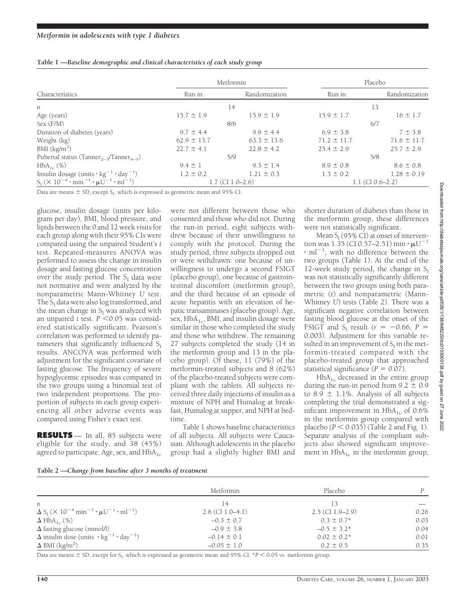| Table 1 - Baseline demographic and clinical characteristics of each study group |  |  |  |
|---------------------------------------------------------------------------------|--|--|--|
|                                                                                 |  |  |  |

|                                                                            |                 | Metformin               | Placebo         |                    |
|----------------------------------------------------------------------------|-----------------|-------------------------|-----------------|--------------------|
| Characteristics                                                            | Run in          | Randomization           | Run in          | Randomization      |
| п                                                                          |                 | 14                      |                 | 13                 |
| Age (years)                                                                | $15.7 \pm 1.9$  | $15.9 \pm 1.9$          | $15.9 \pm 1.7$  | $16 \pm 1.7$       |
| Sex (F/M)                                                                  |                 | 8/6                     |                 | 6/7                |
| Duration of diabetes (years)                                               | $9.7 \pm 4.4$   | $9.9 \pm 4.4$           | $6.9 \pm 3.8$   | $7 \pm 3.8$        |
| Weight (kg)                                                                | $62.9 \pm 13.7$ | $63.3 \pm 13.6$         | $71.2 \pm 11.7$ | $71.6 \pm 11.7$    |
| BMI $(kg/m2)$                                                              | $22.7 \pm 4.1$  | $22.8 \pm 4.2$          | $25.4 \pm 2.9$  | $25.7 \pm 2.9$     |
| Pubertal status (Tanner <sub>2-3</sub> /Tanner <sub>4-5</sub> )            |                 | 5/9                     |                 | 5/8                |
| $HbA_{1c}$ (%)                                                             | $9.4 \pm 1$     | $9.3 \pm 1.4$           | $8.9 \pm 0.8$   | $8.6 \pm 0.8$      |
| Insulin dosage (units $\cdot$ kg <sup>-1</sup> $\cdot$ day <sup>-1</sup> ) | $1.2 \pm 0.2$   | $1.21 \pm 0.3$          | $1.3 \pm 0.2$   | $1.28 \pm 0.19$    |
| $S_I (X 10^{-4} \cdot min^{-1} \cdot \mu U^{-1} \cdot ml^{-1})$            |                 | $1.7$ (CI $1.0 - 2.6$ ) |                 | $1.1$ (CI 0.6–2.2) |

Data are means  $\pm$  SD, except S<sub>I</sub>, which is expressed as geometric mean and 95% CI.

glucose, insulin dosage (units per kilogram per day), BMI, blood pressure, and lipids between the 0 and 12 week visits for each group along with their 95% CIs were compared using the unpaired Student's *t* test. Repeated-measures ANOVA was performed to assess the change in insulin dosage and fasting glucose concentration over the study period. The  $S_I$  data were not normative and were analyzed by the nonparametric Mann-Whitney *U* test. The  $S_I$  data were also log transformed, and the mean change in  $S_I$  was analyzed with an unpaired *t* test.  $P \le 0.05$  was considered statistically significant. Pearson's correlation was performed to identify parameters that significantly influenced  $S_I$ results. ANCOVA was performed with adjustment for the significant covariate of fasting glucose. The frequency of severe hypoglycemic episodes was compared in the two groups using a binomial test of two independent proportions. The proportion of subjects in each group experiencing all other adverse events was compared using Fisher's exact test.

**RESULTS** — In all, 85 subjects were eligible for the study, and 38 (45%) agreed to participate. Age, sex, and  $HbA_{1c}$ 

were not different between those who consented and those who did not. During the run-in period, eight subjects withdrew because of their unwillingness to comply with the protocol. During the study period, three subjects dropped out or were withdrawn: one because of unwillingness to undergo a second FSIGT (placebo group), one because of gastrointestinal discomfort (metformin group), and the third because of an episode of acute hepatitis with an elevation of hepatic transaminases (placebo group). Age, sex,  $HbA_{1c}$ , BMI, and insulin dosage were similar in those who completed the study and those who withdrew. The remaining 27 subjects completed the study (14 in the metformin group and 13 in the placebo group). Of these, 11 (79%) of the metformin-treated subjects and 8 (62%) of the placebo-treated subjects were compliant with the tablets. All subjects received three daily injections of insulin as a mixture of NPH and Humalog at breakfast, Humalog at supper, and NPH at bedtime.

Table 1 shows baseline characteristics of all subjects. All subjects were Caucasian. Although adolescents in the placebo group had a slightly higher BMI and shorter duration of diabetes than those in the metformin group, these differences were not statistically significant.

Mean  $S_I$  (95% CI) at onset of intervention was 1.35 (CI 0.57–2.51) min  $\cdot \mu U^{-1}$  $\cdot$  ml<sup>-1</sup>, with no difference between the two groups (Table 1). At the end of the 12-week study period, the change in  $S_I$ was not statistically significantly different between the two groups using both parametric (*t*) and nonparametric (Mann-Whitney *U*) tests (Table 2). There was a significant negative correlation between fasting blood glucose at the onset of the FSIGT and S<sub>I</sub> result ( $r = -0.66$ ,  $P =$ 0.003). Adjustment for this variable resulted in an improvement of  $S<sub>I</sub>$  in the metformin-treated compared with the placebo-treated group that approached statistical significance  $(P = 0.07)$ .

HbA<sub>1c</sub> decreased in the entire group during the run-in period from  $9.2 \pm 0.9$ to 8.9  $\pm$  1.1%. Analysis of all subjects completing the trial demonstrated a significant improvement in  $HbA_{1c}$  of 0.6% in the metformin group compared with placebo  $(P < 0.035)$  (Table 2 and Fig. 1). Separate analysis of the compliant subjects also showed significant improvement in  $HbA_{1c}$  in the metformin group,

| Table 2 -Change from baseline after 3 months of treatment |  |  |
|-----------------------------------------------------------|--|--|
|                                                           |  |  |

|                                                                                                  | Metformin          | Placebo            | P    |
|--------------------------------------------------------------------------------------------------|--------------------|--------------------|------|
| n                                                                                                | 14                 | 3                  |      |
| $\Delta S_{I}$ ( $\times$ 10 <sup>-4</sup> min <sup>-1</sup> · $\mu U^{-1}$ · ml <sup>-1</sup> ) | $2.6$ (CI 1.0–4.1) | $2.5$ (CI 1.9-2.9) | 0.26 |
| $\Delta$ HbA <sub>1c</sub> (%)                                                                   | $-0.3 \pm 0.7$     | $0.3 \pm 0.7^*$    | 0.03 |
| $\Delta$ fasting glucose (mmol/l)                                                                | $-0.9 \pm 3.8$     | $-0.5 \pm 3.2^*$   | 0.04 |
| $\Delta$ insulin dose (units $\cdot$ kg <sup>-1</sup> $\cdot$ day <sup>-1</sup> )                | $-0.14 \pm 0.1$    | $0.02 \pm 0.2^*$   | 0.01 |
| $\Delta$ BMI (kg/m <sup>2</sup> )                                                                | $-0.05 \pm 1.0$    | $0.2 \pm 0.5$      | 0.35 |

Data are means  $\pm$  SD, except for S<sub>I</sub>, which is expressed as geometric mean and 95% CI. \* $P < 0.05$  vs. metformin group.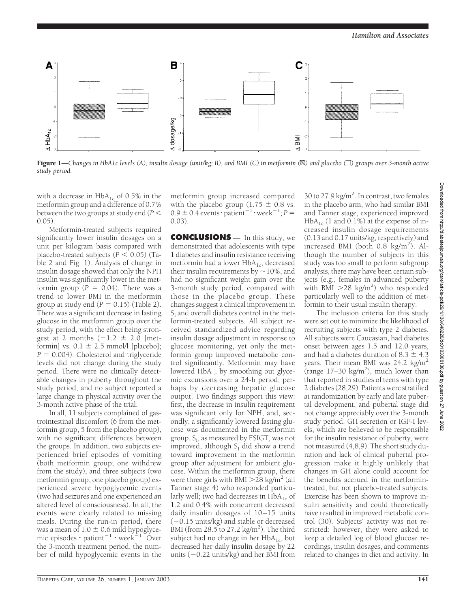

Figure 1—Changes in HbA1c levels (A), insulin dosage (unit/kg; B), and BMI (C) in metformin ( $\mathbb{B}$ ) and placebo ( $\Box$ ) groups over 3-month active *study period.*

with a decrease in  $HbA_{1c}$  of 0.5% in the metformin group and a difference of 0.7% between the two groups at study end (*P*  $(0.05)$ .

Metformin-treated subjects required significantly lower insulin dosages on a unit per kilogram basis compared with placebo-treated subjects  $(P < 0.05)$  (Table 2 and Fig. 1). Analysis of change in insulin dosage showed that only the NPH insulin was significantly lower in the metformin group  $(P = 0.04)$ . There was a trend to lower BMI in the metformin group at study end  $(P = 0.15)$  (Table 2). There was a significant decrease in fasting glucose in the metformin group over the study period, with the effect being strongest at 2 months  $(-1.2 \pm 2.0$  [metformin] vs.  $0.1 \pm 2.5$  mmol/l [placebo];  $P = 0.004$ ). Cholesterol and triglyceride levels did not change during the study period. There were no clinically detectable changes in puberty throughout the study period, and no subject reported a large change in physical activity over the 3-month active phase of the trial.

In all, 11 subjects complained of gastrointestinal discomfort (6 from the metformin group, 5 from the placebo group), with no significant differences between the groups. In addition, two subjects experienced brief episodes of vomiting (both metformin group; one withdrew from the study), and three subjects (two metformin group, one placebo group) experienced severe hypoglycemic events (two had seizures and one experienced an altered level of consciousness). In all, the events were clearly related to missing meals. During the run-in period, there was a mean of  $1.0 \pm 0.6$  mild hypoglycemic episodes  $\cdot$  patient $^{-1}$   $\cdot$  week $^{-1}$ . Over the 3-month treatment period, the number of mild hypoglycemic events in the metformin group increased compared with the placebo group  $(1.75 \pm 0.8 \text{ vs.})$  $0.9 \pm 0.4$  events  $\cdot$  patient<sup>-1</sup>  $\cdot$  week<sup>-1</sup>;  $P =$ 0.03).

**CONCLUSIONS** — In this study, we demonstrated that adolescents with type 1 diabetes and insulin resistance receiving metformin had a lower  $HbA_{1c}$ , decreased their insulin requirements by  $\sim$  10%, and had no significant weight gain over the 3-month study period, compared with those in the placebo group. These changes suggest a clinical improvement in  $S<sub>I</sub>$  and overall diabetes control in the metformin-treated subjects. All subject received standardized advice regarding insulin dosage adjustment in response to glucose monitoring, yet only the metformin group improved metabolic control significantly. Metformin may have lowered  $HbA_{1c}$  by smoothing out glycemic excursions over a 24-h period, perhaps by decreasing hepatic glucose output. Two findings support this view: first, the decrease in insulin requirement was significant only for NPH, and, secondly, a significantly lowered fasting glucose was documented in the metformin group.  $S_I$ , as measured by FSIGT, was not improved, although  $S_I$  did show a trend toward improvement in the metformin group after adjustment for ambient glucose. Within the metformin group, there were three girls with BMI  $>$ 28 kg/m<sup>2</sup> (all Tanner stage 4) who responded particularly well; two had decreases in  $HbA_{1c}$  of 1.2 and 0.4% with concurrent decreased daily insulin dosages of 10-15 units (-0.15 units/kg) and stable or decreased BMI (from  $28.5$  to 27.2 kg/m<sup>2</sup>). The third subject had no change in her  $HbA_{1c}$ , but decreased her daily insulin dosage by 22 units (–0.22 units/kg) and her BMI from

30 to 27.9 kg/m<sup>2</sup>. In contrast, two females in the placebo arm, who had similar BMI and Tanner stage, experienced improved  $HbA_{1c}$  (1 and 0.1%) at the expense of increased insulin dosage requirements (0.13 and 0.17 units/kg, respectively) and increased BMI (both 0.8 kg/m<sup>2</sup>). Although the number of subjects in this study was too small to perform subgroup analysis, there may have been certain subjects (e.g., females in advanced puberty with BMI  $>$  28 kg/m<sup>2</sup>) who responded particularly well to the addition of metformin to their usual insulin therapy.

The inclusion criteria for this study were set out to minimize the likelihood of recruiting subjects with type 2 diabetes. All subjects were Caucasian, had diabetes onset between ages 1.5 and 12.0 years, and had a diabetes duration of  $8.3 \pm 4.3$ years. Their mean BMI was 24.2 kg/m<sup>2</sup> (range 17–30 kg/m<sup>2</sup>), much lower than that reported in studies of teens with type 2 diabetes (28,29). Patients were stratified at randomization by early and late pubertal development, and pubertal stage did not change appreciably over the 3-month study period. GH secretion or IGF-I levels, which are believed to be responsible for the insulin resistance of puberty, were not measured (4,8,9). The short study duration and lack of clinical pubertal progression make it highly unlikely that changes in GH alone could account for the benefits accrued in the metformintreated, but not placebo-treated subjects. Exercise has been shown to improve insulin sensitivity and could theoretically have resulted in improved metabolic control (30). Subjects' activity was not restricted; however, they were asked to keep a detailed log of blood glucose recordings, insulin dosages, and comments related to changes in diet and activity. In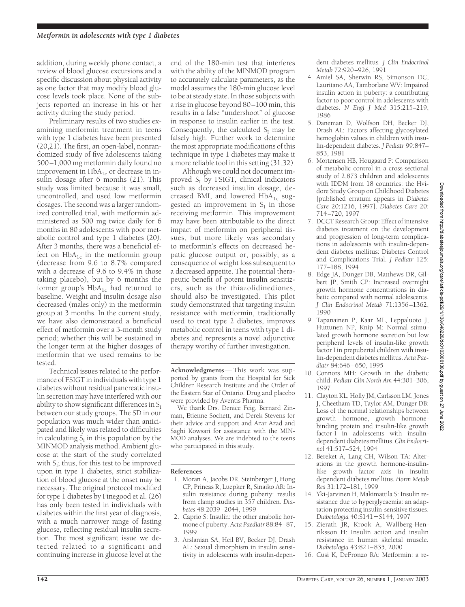addition, during weekly phone contact, a review of blood glucose excursions and a specific discussion about physical activity as one factor that may modify blood glucose levels took place. None of the subjects reported an increase in his or her activity during the study period.

Preliminary results of two studies examining metformin treatment in teens with type 1 diabetes have been presented  $(20,21)$ . The first, an open-label, nonrandomized study of five adolescents taking 500–1,000 mg metformin daily found no improvement in  $HbA_{1c}$  or decrease in insulin dosage after 6 months (21). This study was limited because it was small, uncontrolled, and used low metformin dosages. The second was a larger randomized controlled trial, with metformin administered as 500 mg twice daily for 6 months in 80 adolescents with poor metabolic control and type 1 diabetes (20). After 3 months, there was a beneficial effect on  $HbA_{1c}$  in the metformin group (decrease from 9.6 to 8.7% compared with a decrease of 9.6 to 9.4% in those taking placebo), but by 6 months the former group's  $HbA_{1c}$  had returned to baseline. Weight and insulin dosage also decreased (males only) in the metformin group at 3 months. In the current study, we have also demonstrated a beneficial effect of metformin over a 3-month study period; whether this will be sustained in the longer term at the higher dosages of metformin that we used remains to be tested.

Technical issues related to the performance of FSIGT in individuals with type 1 diabetes without residual pancreatic insulin secretion may have interfered with our ability to show significant differences in  $S_I$ between our study groups. The SD in our population was much wider than anticipated and likely was related to difficulties in calculating  $S_I$  in this population by the MINMOD analysis method. Ambient glucose at the start of the study correlated with  $S_I$ ; thus, for this test to be improved upon in type 1 diabetes, strict stabilization of blood glucose at the onset may be necessary. The original protocol modified for type 1 diabetes by Finegood et al. (26) has only been tested in individuals with diabetes within the first year of diagnosis, with a much narrower range of fasting glucose, reflecting residual insulin secretion. The most significant issue we detected related to a significant and continuing increase in glucose level at the

end of the 180-min test that interferes with the ability of the MINMOD program to accurately calculate parameters, as the model assumes the 180-min glucose level to be at steady state. In those subjects with a rise in glucose beyond 80–100 min, this results in a false "undershoot" of glucose in response to insulin earlier in the test. Consequently, the calculated  $S<sub>I</sub>$  may be falsely high. Further work to determine the most appropriate modifications of this technique in type 1 diabetes may make it a more reliable tool in this setting (31,32).

Although we could not document improved  $S_I$  by FSIGT, clinical indicators such as decreased insulin dosage, decreased BMI, and lowered  $HbA<sub>1c</sub>$  suggested an improvement in  $S_I$  in those receiving metformin. This improvement may have been attributable to the direct impact of metformin on peripheral tissues, but more likely was secondary to metformin's effects on decreased hepatic glucose output or, possibly, as a consequence of weight loss subsequent to a decreased appetite. The potential therapeutic benefit of potent insulin sensitizers, such as the thiazolidinediones, should also be investigated. This pilot study demonstrated that targeting insulin resistance with metformin, traditionally used to treat type 2 diabetes, improves metabolic control in teens with type 1 diabetes and represents a novel adjunctive therapy worthy of further investigation.

**Acknowledgments**— This work was supported by grants from the Hospital for Sick Children Research Institute and the Order of the Eastern Star of Ontario. Drug and placebo were provided by Aventis Pharma.

We thank Drs. Denice Feig, Bernard Zinman, Etienne Sochett, and Derek Stevens for their advice and support and Azar Azad and Saghi Kowsari for assistance with the MIN-MOD analyses. We are indebted to the teens who participated in this study.

### **References**

- 1. Moran A, Jacobs DR, Steinberger J, Hong CP, Prineas R, Luepker R, Sinaiko AR: Insulin resistance during puberty: results from clamp studies in 357 children. *Diabetes* 48:2039–2044, 1999
- 2. Caprio S: Insulin: the other anabolic hormone of puberty. *Acta Paediatr* 88:84–87, 1999
- 3. Arslanian SA, Heil BV, Becker DJ, Drash AL: Sexual dimorphism in insulin sensitivity in adolescents with insulin-depen-

dent diabetes mellitus*. J Clin Endocrinol Metab* 72:920–926, 1991

- 4. Amiel SA, Sherwin RS, Simonson DC, Lauritano AA, Tamborlane WV: Impaired insulin action in puberty: a contributing factor to poor control in adolescents with diabetes. *N Engl J Med* 315:215–219, 1986
- 5. Daneman D, Wolfson DH, Becker DJ, Drash AL: Factors affecting glycosylated hemoglobin values in children with insulin-dependent diabetes. *J Pediatr* 99:847– 853, 1981
- 6. Mortensen HB, Hougaard P: Comparison of metabolic control in a cross-sectional study of 2,873 children and adolescents with IDDM from 18 countries: the Hvidore Study Group on Childhood Diabetes [published erratum appears in *Diabetes Care* 20:1216, 1997]. *Diabetes Care* 20: 714–720, 1997
- 7. DCCT Research Group: Effect of intensive diabetes treatment on the development and progression of long-term complications in adolescents with insulin-dependent diabetes mellitus: Diabetes Control and Complications Trial. *J Pediatr* 125: 177–188, 1994
- 8. Edge JA, Dunger DB, Matthews DR, Gilbert JP, Smith CP: Increased overnight growth hormone concentrations in diabetic compared with normal adolescents. *J Clin Endocrinol Metab* 71:1356–1362, 1990
- 9. Tapanainen P, Kaar ML, Leppaluoto J, Huttunen NP, Knip M: Normal stimulated growth hormone secretion but low peripheral levels of insulin-like growth factor I in prepubertal children with insulin-dependent diabetes mellitus. *Acta Paediatr* 84:646–650, 1995
- 10. Connors MH: Growth in the diabetic child. *Pediatr Clin North Am* 44:301–306, 1997
- 11. Clayton KL, Holly JM, Carlsson LM, Jones J, Cheetham TD, Taylor AM, Dunger DB: Loss of the normal relationships between growth hormone, growth hormonebinding protein and insulin-like growth factor-I in adolescents with insulindependent diabetes mellitus. *Clin Endocrinol* 41:517–524, 1994
- 12. Bereket A, Lang CH, Wilson TA: Alterations in the growth hormone-insulinlike growth factor axis in insulin dependent diabetes mellitus*. Horm Metab Res* 31:172–181, 1999
- 14. Yki-Jarvinen H, Makimattila S: Insulin resistance due to hyperglycaemia: an adaptation protecting insulin-sensitive tissues. *Diabetologia* 40:S141-S144, 1997
- 15. Zierath JR, Krook A, Wallberg-Henriksson H: Insulin action and insulin resistance in human skeletal muscle*. Diabetologia* 43:821–835, 2000
- 16. Cusi K, DeFronzo RA: Metformin: a re-